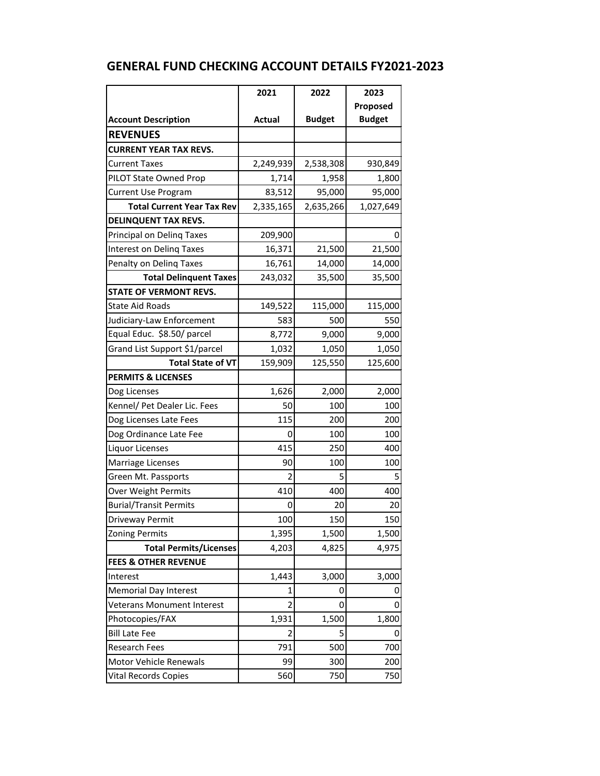|                                   | 2021           | 2022          | 2023          |
|-----------------------------------|----------------|---------------|---------------|
|                                   |                |               | Proposed      |
| <b>Account Description</b>        | <b>Actual</b>  | <b>Budget</b> | <b>Budget</b> |
| <b>REVENUES</b>                   |                |               |               |
| <b>CURRENT YEAR TAX REVS.</b>     |                |               |               |
| <b>Current Taxes</b>              | 2,249,939      | 2,538,308     | 930,849       |
| PILOT State Owned Prop            | 1,714          | 1,958         | 1,800         |
| <b>Current Use Program</b>        | 83,512         | 95,000        | 95,000        |
| <b>Total Current Year Tax Rev</b> | 2,335,165      | 2,635,266     | 1,027,649     |
| <b>DELINQUENT TAX REVS.</b>       |                |               |               |
| Principal on Deling Taxes         | 209,900        |               | 0             |
| <b>Interest on Deling Taxes</b>   | 16,371         | 21,500        | 21,500        |
| Penalty on Deling Taxes           | 16,761         | 14,000        | 14,000        |
| <b>Total Delinquent Taxes</b>     | 243,032        | 35,500        | 35,500        |
| <b>STATE OF VERMONT REVS.</b>     |                |               |               |
| <b>State Aid Roads</b>            | 149,522        | 115,000       | 115,000       |
| Judiciary-Law Enforcement         | 583            | 500           | 550           |
| Equal Educ. \$8.50/ parcel        | 8,772          | 9,000         | 9,000         |
| Grand List Support \$1/parcel     | 1,032          | 1,050         | 1,050         |
| <b>Total State of VT</b>          | 159,909        | 125,550       | 125,600       |
| <b>PERMITS &amp; LICENSES</b>     |                |               |               |
| Dog Licenses                      | 1,626          | 2,000         | 2,000         |
| Kennel/ Pet Dealer Lic. Fees      | 50             | 100           | 100           |
| Dog Licenses Late Fees            | 115            | 200           | 200           |
| Dog Ordinance Late Fee            | 0              | 100           | 100           |
| Liquor Licenses                   | 415            | 250           | 400           |
| Marriage Licenses                 | 90             | 100           | 100           |
| Green Mt. Passports               | 2              | 5             | 5             |
| Over Weight Permits               | 410            | 400           | 400           |
| <b>Burial/Transit Permits</b>     | 0              | 20            | 20            |
| Driveway Permit                   | 100            | 150           | 150           |
| <b>Zoning Permits</b>             | 1,395          | 1,500         | 1,500         |
| <b>Total Permits/Licenses</b>     | 4,203          | 4,825         | 4,975         |
| <b>FEES &amp; OTHER REVENUE</b>   |                |               |               |
| Interest                          | 1,443          | 3,000         | 3,000         |
| <b>Memorial Day Interest</b>      | 1              | 0             | O             |
| <b>Veterans Monument Interest</b> | $\overline{2}$ | 0             | 0             |
| Photocopies/FAX                   | 1,931          | 1,500         | 1,800         |
| <b>Bill Late Fee</b>              | 2              | 5             | 0             |
| Research Fees                     | 791            | 500           | 700           |
| Motor Vehicle Renewals            | 99             | 300           | 200           |
| <b>Vital Records Copies</b>       | 560            | 750           | 750           |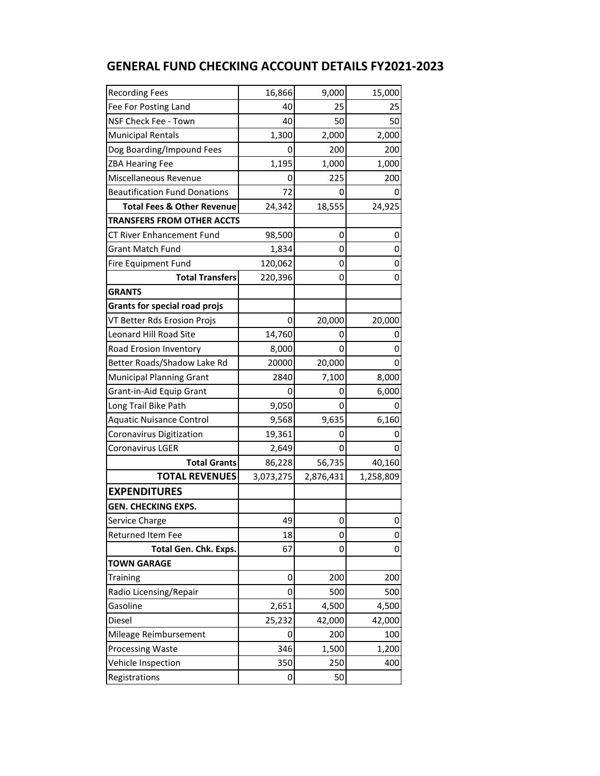| <b>Recording Fees</b>                 | 16,866    | 9,000     | 15,000    |
|---------------------------------------|-----------|-----------|-----------|
| Fee For Posting Land                  | 40        | 25        | 25        |
| NSF Check Fee - Town                  | 40        | 50        | 50        |
| Municipal Rentals                     | 1,300     | 2,000     | 2,000     |
| Dog Boarding/Impound Fees             | O         | 200       | 200       |
| <b>ZBA Hearing Fee</b>                | 1,195     | 1,000     | 1,000     |
| Miscellaneous Revenue                 | 0         | 225       | 200       |
| <b>Beautification Fund Donations</b>  | 72        | 0         | 0         |
| <b>Total Fees &amp; Other Revenue</b> | 24,342    | 18,555    | 24,925    |
| <b>TRANSFERS FROM OTHER ACCTS</b>     |           |           |           |
| CT River Enhancement Fund             | 98,500    | 0         | 0         |
| <b>Grant Match Fund</b>               | 1,834     | 0         | 0         |
| Fire Equipment Fund                   | 120,062   | 0         | 0         |
| <b>Total Transfers</b>                | 220,396   | 0         | 0         |
| <b>GRANTS</b>                         |           |           |           |
| <b>Grants for special road projs</b>  |           |           |           |
| VT Better Rds Erosion Projs           | 0         | 20,000    | 20,000    |
| Leonard Hill Road Site                | 14,760    | 0         |           |
| Road Erosion Inventory                | 8,000     | 0         | 0         |
| Better Roads/Shadow Lake Rd           | 20000     | 20,000    | 0         |
| <b>Municipal Planning Grant</b>       | 2840      | 7,100     | 8,000     |
| Grant-in-Aid Equip Grant              |           | 0         | 6,000     |
| Long Trail Bike Path                  | 9,050     | 0         |           |
| <b>Aquatic Nuisance Control</b>       | 9,568     | 9,635     | 6,160     |
| Coronavirus Digitization              | 19,361    | 0         | 0         |
| Coronavirus LGER                      | 2,649     | 0         | 0         |
| <b>Total Grants</b>                   | 86,228    | 56,735    | 40,160    |
| <b>TOTAL REVENUES</b>                 | 3,073,275 | 2,876,431 | 1,258,809 |
| <b>EXPENDITURES</b>                   |           |           |           |
| <b>GEN. CHECKING EXPS.</b>            |           |           |           |
| Service Charge                        | 49        | 0         | 0         |
| <b>Returned Item Fee</b>              | 18        | 0         | 0         |
| Total Gen. Chk. Exps.                 | 67        | 0         | 0         |
| <b>TOWN GARAGE</b>                    |           |           |           |
| Training                              | 0         | 200       | 200       |
| Radio Licensing/Repair                | 0         | 500       | 500       |
| Gasoline                              | 2,651     | 4,500     | 4,500     |
| Diesel                                | 25,232    | 42,000    | 42,000    |
| Mileage Reimbursement                 | 0         | 200       | 100       |
| Processing Waste                      | 346       | 1,500     | 1,200     |
| Vehicle Inspection                    | 350       | 250       | 400       |
| Registrations                         | 0         | 50        |           |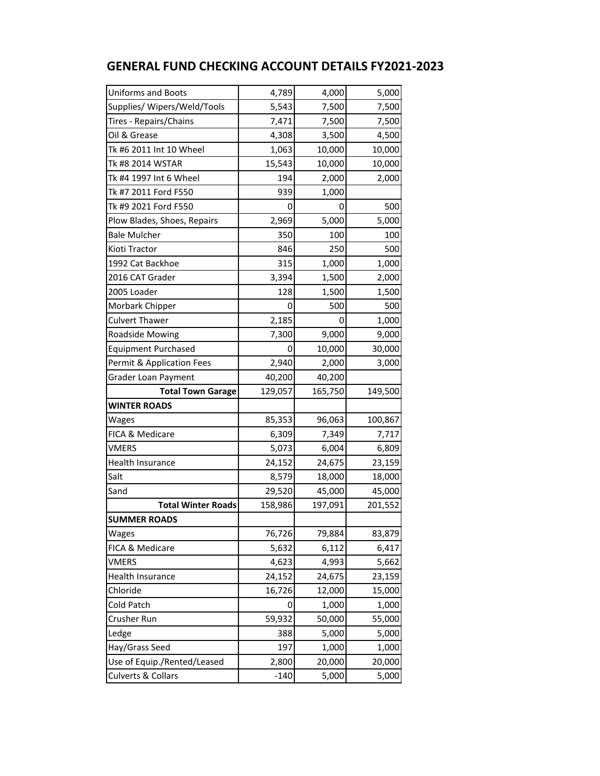| <b>GENERAL FUND CHECKING ACCOUNT DETAILS FY2021-2023</b> |  |  |  |  |  |
|----------------------------------------------------------|--|--|--|--|--|
|----------------------------------------------------------|--|--|--|--|--|

| <b>Uniforms and Boots</b>   | 4,789   | 4,000   | 5,000   |
|-----------------------------|---------|---------|---------|
| Supplies/ Wipers/Weld/Tools | 5,543   | 7,500   | 7,500   |
| Tires - Repairs/Chains      | 7,471   | 7,500   | 7,500   |
| Oil & Grease                | 4,308   | 3,500   | 4,500   |
| Tk #6 2011 Int 10 Wheel     | 1,063   | 10,000  | 10,000  |
| Tk #8 2014 WSTAR            | 15,543  | 10,000  | 10,000  |
| Tk #4 1997 Int 6 Wheel      | 194     | 2,000   | 2,000   |
| Tk #7 2011 Ford F550        | 939     | 1,000   |         |
| Tk #9 2021 Ford F550        | 0       | 0       | 500     |
| Plow Blades, Shoes, Repairs | 2,969   | 5,000   | 5,000   |
| <b>Bale Mulcher</b>         | 350     | 100     | 100     |
| Kioti Tractor               | 846     | 250     | 500     |
| 1992 Cat Backhoe            | 315     | 1,000   | 1,000   |
| 2016 CAT Grader             | 3,394   | 1,500   | 2,000   |
| 2005 Loader                 | 128     | 1,500   | 1,500   |
| Morbark Chipper             | 0       | 500     | 500     |
| <b>Culvert Thawer</b>       | 2,185   | 0       | 1,000   |
| Roadside Mowing             | 7,300   | 9,000   | 9,000   |
| <b>Equipment Purchased</b>  |         | 10,000  | 30,000  |
| Permit & Application Fees   | 2,940   | 2,000   | 3,000   |
| Grader Loan Payment         | 40,200  | 40,200  |         |
| <b>Total Town Garage</b>    | 129,057 | 165,750 | 149,500 |
| <b>WINTER ROADS</b>         |         |         |         |
| Wages                       | 85,353  | 96,063  | 100,867 |
| FICA & Medicare             | 6,309   | 7,349   | 7,717   |
| <b>VMERS</b>                | 5,073   | 6,004   | 6,809   |
| Health Insurance            | 24,152  | 24,675  | 23,159  |
| Salt                        | 8,579   | 18,000  | 18,000  |
| Sand                        | 29,520  | 45,000  | 45,000  |
| <b>Total Winter Roads</b>   | 158,986 | 197,091 | 201,552 |
| <b>SUMMER ROADS</b>         |         |         |         |
| Wages                       | 76,726  | 79,884  | 83,879  |
| FICA & Medicare             | 5,632   | 6,112   | 6,417   |
| <b>VMERS</b>                | 4,623   | 4,993   | 5,662   |
| Health Insurance            | 24,152  | 24,675  | 23,159  |
| Chloride                    | 16,726  | 12,000  | 15,000  |
| Cold Patch                  | 0       | 1,000   | 1,000   |
| Crusher Run                 | 59,932  | 50,000  | 55,000  |
| Ledge                       | 388     | 5,000   | 5,000   |
| Hay/Grass Seed              | 197     | 1,000   | 1,000   |
| Use of Equip./Rented/Leased | 2,800   | 20,000  | 20,000  |
| Culverts & Collars          | $-140$  | 5,000   | 5,000   |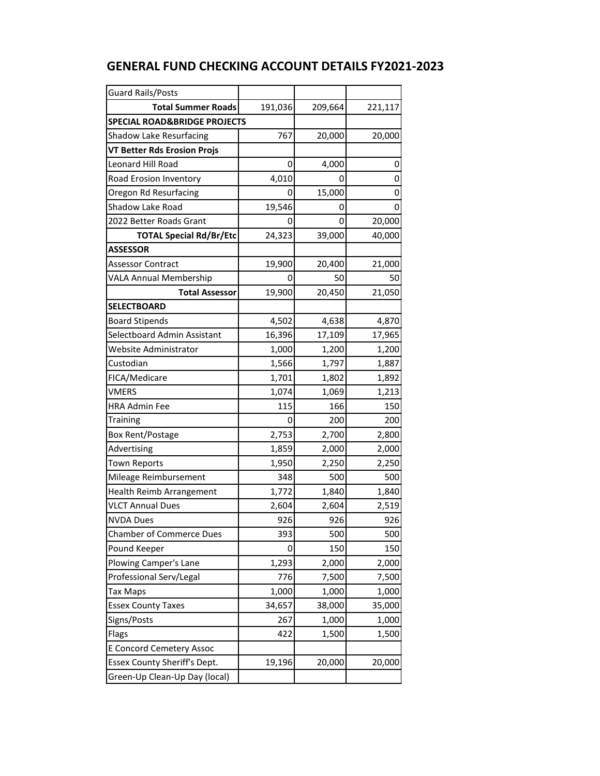| <b>Guard Rails/Posts</b>                |         |         |         |
|-----------------------------------------|---------|---------|---------|
| <b>Total Summer Roads</b>               | 191,036 | 209,664 | 221,117 |
| <b>SPECIAL ROAD&amp;BRIDGE PROJECTS</b> |         |         |         |
| <b>Shadow Lake Resurfacing</b>          | 767     | 20,000  | 20,000  |
| <b>VT Better Rds Erosion Projs</b>      |         |         |         |
| <b>Leonard Hill Road</b>                | 0       | 4,000   |         |
| Road Erosion Inventory                  | 4,010   | 0       | 0       |
| Oregon Rd Resurfacing                   | 0       | 15,000  |         |
| Shadow Lake Road                        | 19,546  | 0       |         |
| 2022 Better Roads Grant                 | O       | 0       | 20,000  |
| <b>TOTAL Special Rd/Br/Etc</b>          | 24,323  | 39,000  | 40,000  |
| <b>ASSESSOR</b>                         |         |         |         |
| <b>Assessor Contract</b>                | 19,900  | 20,400  | 21,000  |
| <b>VALA Annual Membership</b>           | 0       | 50      | 50      |
| <b>Total Assessor</b>                   | 19,900  | 20,450  | 21,050  |
| <b>SELECTBOARD</b>                      |         |         |         |
| <b>Board Stipends</b>                   | 4,502   | 4,638   | 4,870   |
| Selectboard Admin Assistant             | 16,396  | 17,109  | 17,965  |
| Website Administrator                   | 1,000   | 1,200   | 1,200   |
| Custodian                               | 1,566   | 1,797   | 1,887   |
| FICA/Medicare                           | 1,701   | 1,802   | 1,892   |
| <b>VMERS</b>                            | 1,074   | 1,069   | 1,213   |
| <b>HRA Admin Fee</b>                    | 115     | 166     | 150     |
| <b>Training</b>                         | 0       | 200     | 200     |
| Box Rent/Postage                        | 2,753   | 2,700   | 2,800   |
| Advertising                             | 1,859   | 2,000   | 2,000   |
| <b>Town Reports</b>                     | 1,950   | 2,250   | 2,250   |
| Mileage Reimbursement                   | 348     | 500     | 500     |
| Health Reimb Arrangement                | 1,772   | 1,840   | 1,840   |
| <b>VLCT Annual Dues</b>                 | 2,604   | 2,604   | 2,519   |
| <b>NVDA Dues</b>                        | 926     | 926     | 926     |
| <b>Chamber of Commerce Dues</b>         | 393     | 500     | 500     |
| Pound Keeper                            | 0       | 150     | 150     |
| Plowing Camper's Lane                   | 1,293   | 2,000   | 2,000   |
| Professional Serv/Legal                 | 776     | 7,500   | 7,500   |
| <b>Tax Maps</b>                         | 1,000   | 1,000   | 1,000   |
| <b>Essex County Taxes</b>               | 34,657  | 38,000  | 35,000  |
| Signs/Posts                             | 267     | 1,000   | 1,000   |
| Flags                                   | 422     | 1,500   | 1,500   |
| <b>E Concord Cemetery Assoc</b>         |         |         |         |
| Essex County Sheriff's Dept.            | 19,196  | 20,000  | 20,000  |
| Green-Up Clean-Up Day (local)           |         |         |         |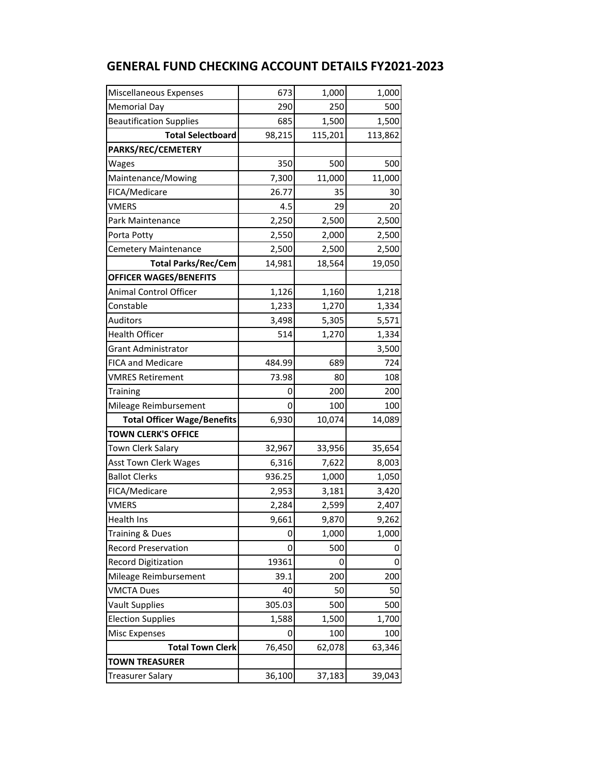| Miscellaneous Expenses             | 673    | 1,000   | 1,000   |
|------------------------------------|--------|---------|---------|
| <b>Memorial Day</b>                | 290    | 250     | 500     |
| <b>Beautification Supplies</b>     | 685    | 1,500   | 1,500   |
| <b>Total Selectboard</b>           | 98,215 | 115,201 | 113,862 |
| PARKS/REC/CEMETERY                 |        |         |         |
| Wages                              | 350    | 500     | 500     |
| Maintenance/Mowing                 | 7,300  | 11,000  | 11,000  |
| FICA/Medicare                      | 26.77  | 35      | 30      |
| VMERS                              | 4.5    | 29      | 20      |
| Park Maintenance                   | 2,250  | 2,500   | 2,500   |
| Porta Potty                        | 2,550  | 2,000   | 2,500   |
| <b>Cemetery Maintenance</b>        | 2,500  | 2,500   | 2,500   |
| <b>Total Parks/Rec/Cem</b>         | 14,981 | 18,564  | 19,050  |
| <b>OFFICER WAGES/BENEFITS</b>      |        |         |         |
| Animal Control Officer             | 1,126  | 1,160   | 1,218   |
| Constable                          | 1,233  | 1,270   | 1,334   |
| Auditors                           | 3,498  | 5,305   | 5,571   |
| <b>Health Officer</b>              | 514    | 1,270   | 1,334   |
| <b>Grant Administrator</b>         |        |         | 3,500   |
| <b>FICA and Medicare</b>           | 484.99 | 689     | 724     |
| <b>VMRES Retirement</b>            | 73.98  | 80      | 108     |
| Training                           | 0      | 200     | 200     |
| Mileage Reimbursement              | 0      | 100     | 100     |
| <b>Total Officer Wage/Benefits</b> | 6,930  | 10,074  | 14,089  |
| <b>TOWN CLERK'S OFFICE</b>         |        |         |         |
| Town Clerk Salary                  | 32,967 | 33,956  | 35,654  |
| Asst Town Clerk Wages              | 6,316  | 7,622   | 8,003   |
| <b>Ballot Clerks</b>               | 936.25 | 1,000   | 1,050   |
| FICA/Medicare                      | 2,953  | 3,181   | 3,420   |
| <b>VMERS</b>                       | 2,284  | 2,599   | 2,407   |
| Health Ins                         | 9,661  | 9,870   | 9,262   |
| Training & Dues                    | 0      | 1,000   | 1,000   |
| <b>Record Preservation</b>         | 0      | 500     | 0       |
| <b>Record Digitization</b>         | 19361  | 0       | 0       |
| Mileage Reimbursement              | 39.1   | 200     | 200     |
| <b>VMCTA Dues</b>                  | 40     | 50      | 50      |
| <b>Vault Supplies</b>              | 305.03 | 500     | 500     |
| <b>Election Supplies</b>           | 1,588  | 1,500   | 1,700   |
| <b>Misc Expenses</b>               | 0      | 100     | 100     |
| <b>Total Town Clerk</b>            | 76,450 | 62,078  | 63,346  |
| <b>TOWN TREASURER</b>              |        |         |         |
| <b>Treasurer Salary</b>            | 36,100 | 37,183  | 39,043  |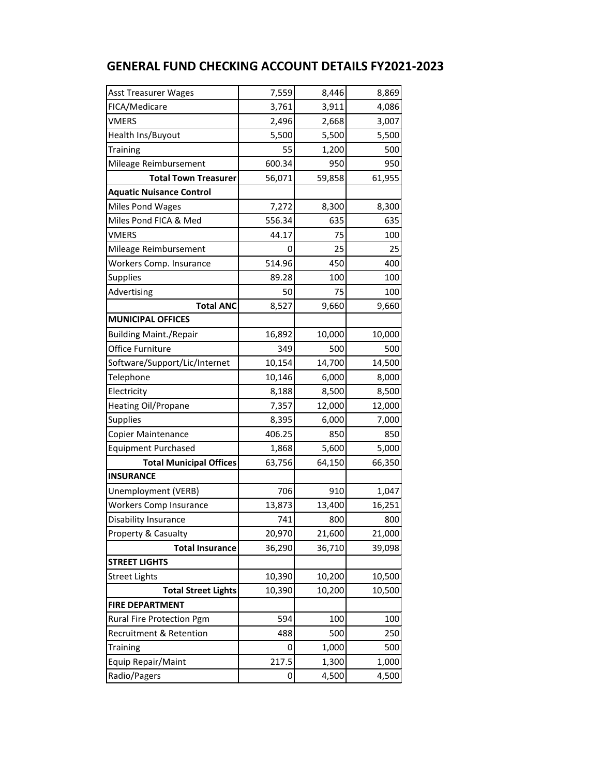| <b>Asst Treasurer Wages</b>     | 7,559  | 8,446  | 8,869  |
|---------------------------------|--------|--------|--------|
| FICA/Medicare                   | 3,761  | 3,911  | 4,086  |
| <b>VMERS</b>                    | 2,496  | 2,668  | 3,007  |
| Health Ins/Buyout               | 5,500  | 5,500  | 5,500  |
| Training                        | 55     | 1,200  | 500    |
| Mileage Reimbursement           | 600.34 | 950    | 950    |
| <b>Total Town Treasurer</b>     | 56,071 | 59,858 | 61,955 |
| <b>Aquatic Nuisance Control</b> |        |        |        |
| <b>Miles Pond Wages</b>         | 7,272  | 8,300  | 8,300  |
| Miles Pond FICA & Med           | 556.34 | 635    | 635    |
| VMERS                           | 44.17  | 75     | 100    |
| Mileage Reimbursement           | 0      | 25     | 25     |
| Workers Comp. Insurance         | 514.96 | 450    | 400    |
| <b>Supplies</b>                 | 89.28  | 100    | 100    |
| Advertising                     | 50     | 75     | 100    |
| <b>Total ANC</b>                | 8,527  | 9,660  | 9,660  |
| <b>MUNICIPAL OFFICES</b>        |        |        |        |
| <b>Building Maint./Repair</b>   | 16,892 | 10,000 | 10,000 |
| Office Furniture                | 349    | 500    | 500    |
| Software/Support/Lic/Internet   | 10,154 | 14,700 | 14,500 |
| Telephone                       | 10,146 | 6,000  | 8,000  |
| Electricity                     | 8,188  | 8,500  | 8,500  |
| <b>Heating Oil/Propane</b>      | 7,357  | 12,000 | 12,000 |
| <b>Supplies</b>                 | 8,395  | 6,000  | 7,000  |
| Copier Maintenance              | 406.25 | 850    | 850    |
| <b>Equipment Purchased</b>      | 1,868  | 5,600  | 5,000  |
| <b>Total Municipal Offices</b>  | 63,756 | 64,150 | 66,350 |
| <b>INSURANCE</b>                |        |        |        |
| Unemployment (VERB)             | 706    | 910    | 1,047  |
| <b>Workers Comp Insurance</b>   | 13,873 | 13,400 | 16,251 |
| Disability Insurance            | 741    | 800    | 800    |
| Property & Casualty             | 20,970 | 21,600 | 21,000 |
| <b>Total Insurance</b>          | 36,290 | 36,710 | 39,098 |
| <b>STREET LIGHTS</b>            |        |        |        |
| <b>Street Lights</b>            | 10,390 | 10,200 | 10,500 |
| <b>Total Street Lights</b>      | 10,390 | 10,200 | 10,500 |
| <b>FIRE DEPARTMENT</b>          |        |        |        |
| Rural Fire Protection Pgm       | 594    | 100    | 100    |
| Recruitment & Retention         | 488    | 500    | 250    |
| Training                        | 0      | 1,000  | 500    |
| Equip Repair/Maint              | 217.5  | 1,300  | 1,000  |
| Radio/Pagers                    | 0      | 4,500  | 4,500  |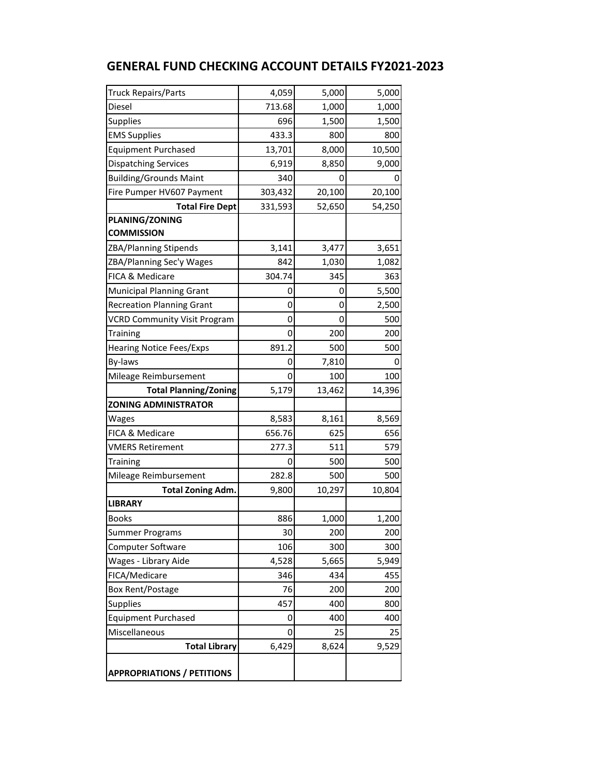| <b>Truck Repairs/Parts</b>          | 4,059   | 5,000  | 5,000  |
|-------------------------------------|---------|--------|--------|
| Diesel                              | 713.68  | 1,000  | 1,000  |
| <b>Supplies</b>                     | 696     | 1,500  | 1,500  |
| <b>EMS Supplies</b>                 | 433.3   | 800    | 800    |
| <b>Equipment Purchased</b>          | 13,701  | 8,000  | 10,500 |
| <b>Dispatching Services</b>         | 6,919   | 8,850  | 9,000  |
| <b>Building/Grounds Maint</b>       | 340     | 0      | 0      |
| Fire Pumper HV607 Payment           | 303,432 | 20,100 | 20,100 |
| <b>Total Fire Dept</b>              | 331,593 | 52,650 | 54,250 |
| <b>PLANING/ZONING</b>               |         |        |        |
| <b>COMMISSION</b>                   |         |        |        |
| ZBA/Planning Stipends               | 3,141   | 3,477  | 3,651  |
| ZBA/Planning Sec'y Wages            | 842     | 1,030  | 1,082  |
| FICA & Medicare                     | 304.74  | 345    | 363    |
| <b>Municipal Planning Grant</b>     | 0       | 0      | 5,500  |
| <b>Recreation Planning Grant</b>    | 0       | 0      | 2,500  |
| <b>VCRD Community Visit Program</b> | 0       | 0      | 500    |
| Training                            | 0       | 200    | 200    |
| <b>Hearing Notice Fees/Exps</b>     | 891.2   | 500    | 500    |
| By-laws                             | 0       | 7,810  | O      |
| Mileage Reimbursement               | 0       | 100    | 100    |
| <b>Total Planning/Zoning</b>        | 5,179   | 13,462 | 14,396 |
| <b>ZONING ADMINISTRATOR</b>         |         |        |        |
| Wages                               | 8,583   | 8,161  | 8,569  |
| FICA & Medicare                     | 656.76  | 625    | 656    |
| <b>VMERS Retirement</b>             | 277.3   | 511    | 579    |
| Training                            | O       | 500    | 500    |
| Mileage Reimbursement               | 282.8   | 500    | 500    |
| <b>Total Zoning Adm.</b>            | 9,800   | 10,297 | 10,804 |
| <b>LIBRARY</b>                      |         |        |        |
| <b>Books</b>                        | 886     | 1,000  | 1,200  |
| Summer Programs                     | 30      | 200    | 200    |
| Computer Software                   | 106     | 300    | 300    |
| Wages - Library Aide                | 4,528   | 5,665  | 5,949  |
| FICA/Medicare                       | 346     | 434    | 455    |
| Box Rent/Postage                    | 76      | 200    | 200    |
| <b>Supplies</b>                     | 457     | 400    | 800    |
| <b>Equipment Purchased</b>          | 0       | 400    | 400    |
| Miscellaneous                       | 0       | 25     | 25     |
| <b>Total Library</b>                | 6,429   | 8,624  | 9,529  |
| <b>APPROPRIATIONS / PETITIONS</b>   |         |        |        |